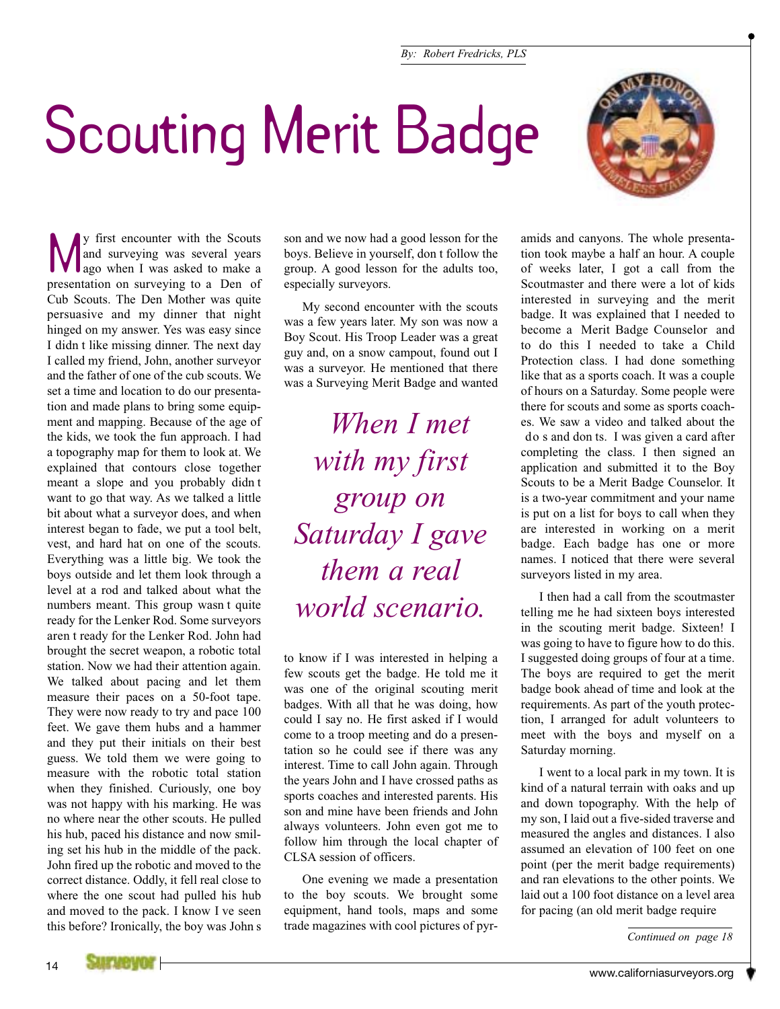



We first encounter with the Scouts<br>and surveying was several years<br>ago when I was asked to make a and surveying was several years presentation on surveying to a Den of Cub Scouts. The Den Mother was quite persuasive and my dinner that night hinged on my answer. Yes was easy since I didn t like missing dinner. The next day I called my friend, John, another surveyor and the father of one of the cub scouts. We set a time and location to do our presentation and made plans to bring some equipment and mapping. Because of the age of the kids, we took the fun approach. I had a topography map for them to look at. We explained that contours close together meant a slope and you probably didn t want to go that way. As we talked a little bit about what a surveyor does, and when interest began to fade, we put a tool belt, vest, and hard hat on one of the scouts. Everything was a little big. We took the boys outside and let them look through a level at a rod and talked about what the numbers meant. This group wasn t quite ready for the Lenker Rod. Some surveyors aren t ready for the Lenker Rod. John had brought the secret weapon, a robotic total station. Now we had their attention again. We talked about pacing and let them measure their paces on a 50-foot tape. They were now ready to try and pace 100 feet. We gave them hubs and a hammer and they put their initials on their best guess. We told them we were going to measure with the robotic total station when they finished. Curiously, one boy was not happy with his marking. He was no where near the other scouts. He pulled his hub, paced his distance and now smiling set his hub in the middle of the pack. John fired up the robotic and moved to the correct distance. Oddly, it fell real close to where the one scout had pulled his hub and moved to the pack. I know I ve seen this before? Ironically, the boy was John s

son and we now had a good lesson for the boys. Believe in yourself, don t follow the group. A good lesson for the adults too, especially surveyors.

My second encounter with the scouts was a few years later. My son was now a Boy Scout. His Troop Leader was a great guy and, on a snow campout, found out I was a surveyor. He mentioned that there was a Surveying Merit Badge and wanted

*When I met with my first group on Saturday I gave them a real world scenario.*

to know if I was interested in helping a few scouts get the badge. He told me it was one of the original scouting merit badges. With all that he was doing, how could I say no. He first asked if I would come to a troop meeting and do a presentation so he could see if there was any interest. Time to call John again. Through the years John and I have crossed paths as sports coaches and interested parents. His son and mine have been friends and John always volunteers. John even got me to follow him through the local chapter of CLSA session of officers.

One evening we made a presentation to the boy scouts. We brought some equipment, hand tools, maps and some trade magazines with cool pictures of pyramids and canyons. The whole presentation took maybe a half an hour. A couple of weeks later, I got a call from the Scoutmaster and there were a lot of kids interested in surveying and the merit badge. It was explained that I needed to become a Merit Badge Counselor and to do this I needed to take a Child Protection class. I had done something like that as a sports coach. It was a couple of hours on a Saturday. Some people were there for scouts and some as sports coaches. We saw a video and talked about the do s and don ts. I was given a card after completing the class. I then signed an application and submitted it to the Boy Scouts to be a Merit Badge Counselor. It is a two-year commitment and your name is put on a list for boys to call when they are interested in working on a merit badge. Each badge has one or more names. I noticed that there were several surveyors listed in my area.

I then had a call from the scoutmaster telling me he had sixteen boys interested in the scouting merit badge. Sixteen! I was going to have to figure how to do this. I suggested doing groups of four at a time. The boys are required to get the merit badge book ahead of time and look at the requirements. As part of the youth protection, I arranged for adult volunteers to meet with the boys and myself on a Saturday morning.

I went to a local park in my town. It is kind of a natural terrain with oaks and up and down topography. With the help of my son, I laid out a five-sided traverse and measured the angles and distances. I also assumed an elevation of 100 feet on one point (per the merit badge requirements) and ran elevations to the other points. We laid out a 100 foot distance on a level area for pacing (an old merit badge require

*Continued on page 18*